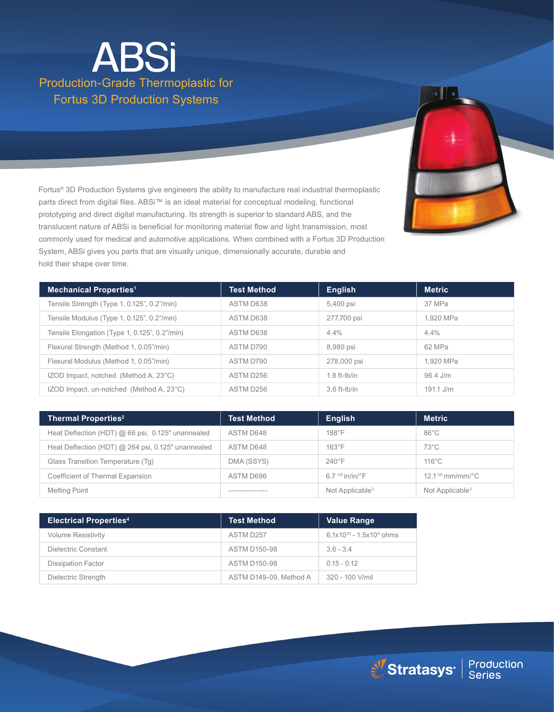# Production-Grade Thermoplastic for Fortus 3D Production Systems ABSi

Fortus® 3D Production Systems give engineers the ability to manufacture real industrial thermoplastic parts direct from digital files. ABSi™ is an ideal material for conceptual modeling, functional prototyping and direct digital manufacturing. Its strength is superior to standard ABS, and the translucent nature of ABSi is beneficial for monitoring material flow and light transmission, most commonly used for medical and automotive applications. When combined with a Fortus 3D Production System, ABSi gives you parts that are visually unique, dimensionally accurate, durable and hold their shape over time.

| <b>Mechanical Properties<sup>1</sup></b>      | <b>Test Method</b> | <b>English</b> | <b>Metric</b> |
|-----------------------------------------------|--------------------|----------------|---------------|
| Tensile Strength (Type 1, 0.125", 0.2"/min)   | ASTM D638          | 5,400 psi      | 37 MPa        |
| Tensile Modulus (Type 1, 0.125", 0.2"/min)    | ASTM D638          | 277,700 psi    | 1.920 MPa     |
| Tensile Elongation (Type 1, 0.125", 0.2"/min) | ASTM D638          | $4.4\%$        | 4.4%          |
| Flexural Strength (Method 1, 0.05"/min)       | ASTM D790          | 8,980 psi      | 62 MPa        |
| Flexural Modulus (Method 1, 0.05"/min)        | ASTM D790          | 278,000 psi    | 1.920 MPa     |
| IZOD Impact, notched (Method A, 23°C)         | ASTM D256          | $1.8$ ft-lb/in | 96.4 J/m      |
| IZOD Impact, un-notched (Method A, 23°C)      | ASTM D256          | $3.6$ ft-lb/in | $191.1$ J/m   |

| <b>Thermal Properties<sup>2</sup></b>              | <b>Test Method</b> | <b>English</b>                 | <b>Metric</b>                   |
|----------------------------------------------------|--------------------|--------------------------------|---------------------------------|
| Heat Deflection (HDT) @ 66 psi, 0.125" unannealed  | ASTM D648          | $188^\circ F$                  | $86^{\circ}$ C                  |
| Heat Deflection (HDT) @ 264 psi, 0.125" unannealed | ASTM D648          | $163^{\circ}F$                 | $73^{\circ}$ C                  |
| Glass Transition Temperature (Tg)                  | DMA (SSYS)         | $240^{\circ}$ F                | $116^{\circ}$ C                 |
| Coefficient of Thermal Expansion                   | ASTM D696          | $6.7 - 06$ in/in/ $^{\circ}$ F | $12.1 - 05$ mm/mm/ $^{\circ}$ C |
| <b>Melting Point</b>                               |                    | Not Applicable <sup>3</sup>    | Not Applicable <sup>3</sup>     |

| <b>Electrical Properties4</b> | <b>Test Method</b>     | <b>Value Range</b>            |
|-------------------------------|------------------------|-------------------------------|
| <b>Volume Resistivity</b>     | ASTM D257              | $6.1x10^{10} - 1.5x10^9$ ohms |
| Dielectric Constant           | <b>ASTM D150-98</b>    | $3.6 - 3.4$                   |
| <b>Dissipation Factor</b>     | <b>ASTM D150-98</b>    | $0.15 - 0.12$                 |
| Dielectric Strength           | ASTM D149-09, Method A | 320 - 100 V/mil               |